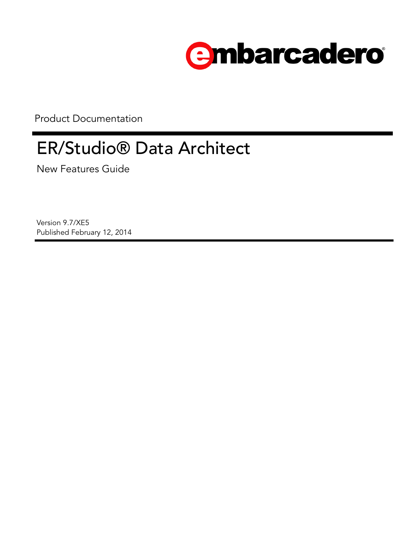

Product Documentation

# ER/Studio® Data Architect

New Features Guide

Version 9.7/XE5 Published February 12, 2014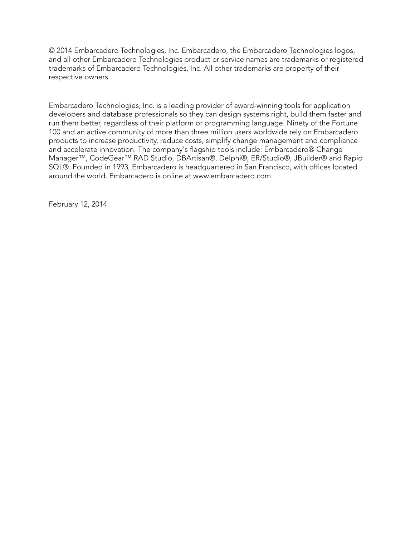© 2014 Embarcadero Technologies, Inc. Embarcadero, the Embarcadero Technologies logos, and all other Embarcadero Technologies product or service names are trademarks or registered trademarks of Embarcadero Technologies, Inc. All other trademarks are property of their respective owners.

Embarcadero Technologies, Inc. is a leading provider of award-winning tools for application developers and database professionals so they can design systems right, build them faster and run them better, regardless of their platform or programming language. Ninety of the Fortune 100 and an active community of more than three million users worldwide rely on Embarcadero products to increase productivity, reduce costs, simplify change management and compliance and accelerate innovation. The company's flagship tools include: Embarcadero® Change Manager™, CodeGear™ RAD Studio, DBArtisan®, Delphi®, ER/Studio®, JBuilder® and Rapid SQL®. Founded in 1993, Embarcadero is headquartered in San Francisco, with offices located around the world. Embarcadero is online at www.embarcadero.com.

February 12, 2014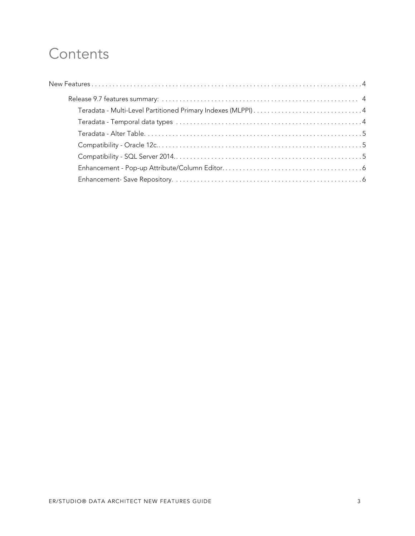## **Contents**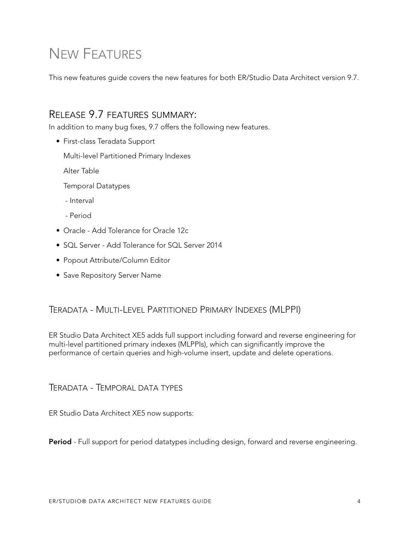# <span id="page-3-0"></span>NEW FEATURES

This new features guide covers the new features for both ER/Studio Data Architect version 9.7.

### <span id="page-3-1"></span>RELEASE 9.7 FEATURES SUMMARY:

In addition to many bug fixes, 9.7 offers the following new features.

• First-class Teradata Support

[Multi-level Partitioned Primary Indexes](#page-3-2)

[Alter Table](#page-4-0)

[Temporal Datatypes](#page-3-3)

- [Interval](#page-3-3)
- [Period](#page-3-3)
- • [Oracle Add Tolerance for Oracle 12c](#page-4-1)
- SOL Server Add Tolerance for SOL Server 2014
- • [Popout Attribute/Column Editor](#page-5-0)
- • [Save Repository Server Name](#page-5-1)

### <span id="page-3-2"></span>TERADATA - MULTI-LEVEL PARTITIONED PRIMARY INDEXES (MLPPI)

ER Studio Data Architect XE5 adds full support including forward and reverse engineering for multi-level partitioned primary indexes (MLPPIs), which can significantly improve the performance of certain queries and high-volume insert, update and delete operations.

<span id="page-3-3"></span>TERADATA - TEMPORAL DATA TYPES

ER Studio Data Architect XE5 now supports:

**Period** - Full support for period datatypes including design, forward and reverse engineering.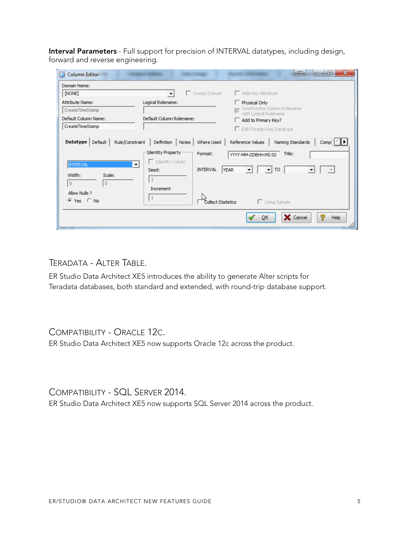**Interval Parameters** - Full support for precision of INTERVAL datatypes, including design, forward and reverse engineering.

| <b>Column Editor</b><br>Domain Name:                          | $\mathbf{x}$<br>$\blacksquare$<br>▣                                                                                                                       |
|---------------------------------------------------------------|-----------------------------------------------------------------------------------------------------------------------------------------------------------|
| [NONE]                                                        | $\Box$ Create Domain<br>$\Box$ Hide Key Attribute                                                                                                         |
| <b>Attribute Name:</b><br>CreateTimeStamp                     | Logical Rolename:<br>Physical Only<br>Synchronize Column Rolename<br>with Logical Rolename                                                                |
| Default Column Name:<br>CreateTimeStamp                       | Default Column Rolename:<br>Add to Primary Key?<br>Edit Foreign Key Datatype                                                                              |
| Rule/Constraint<br><b>Datatype</b><br>Default                 | Definition   Notes<br>Where Used<br>Reference Values<br>Naming Standards<br>Comp:<br><b>Identity Property</b><br>Format:<br>Title:<br>YYYY-MM-DDBHH:MI:SS |
| INTERVAL<br>▼<br>Width:<br>Scale:<br>$\bf{0}$<br>$\mathbf{0}$ | $\Box$ Identity Column<br><b>INTERVAL</b><br><b>TO</b><br><b>YEAR</b><br>Seed:<br>Increment                                                               |
| Allow Nulls ?<br>⊙ Yes ○ No                                   | $\Box$ Using Sample<br>Collect Statistics                                                                                                                 |
|                                                               | ୭<br>X Cancel<br>QK<br>Help                                                                                                                               |

<span id="page-4-0"></span>TERADATA - ALTER TABLE.

ER Studio Data Architect XE5 introduces the ability to generate Alter scripts for Teradata databases, both standard and extended, with round-trip database support.

### <span id="page-4-1"></span>COMPATIBILITY - ORACLE 12C.

ER Studio Data Architect XE5 now supports Oracle 12c across the product.

<span id="page-4-2"></span>COMPATIBILITY - SQL SERVER 2014. ER Studio Data Architect XE5 now supports SQL Server 2014 across the product.